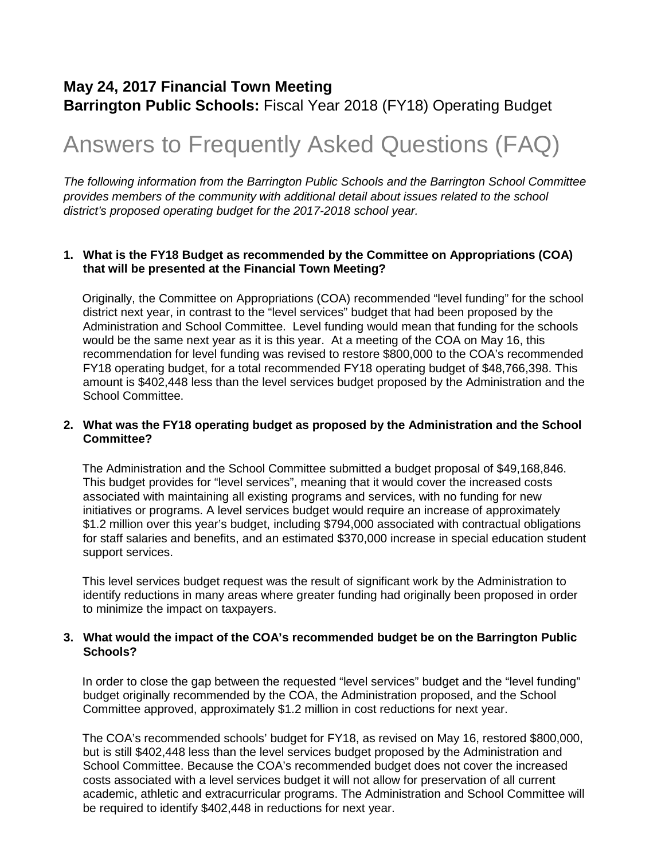### **May 24, 2017 Financial Town Meeting Barrington Public Schools:** Fiscal Year 2018 (FY18) Operating Budget

# Answers to Frequently Asked Questions (FAQ)

*The following information from the Barrington Public Schools and the Barrington School Committee provides members of the community with additional detail about issues related to the school district's proposed operating budget for the 2017-2018 school year.*

#### **1. What is the FY18 Budget as recommended by the Committee on Appropriations (COA) that will be presented at the Financial Town Meeting?**

Originally, the Committee on Appropriations (COA) recommended "level funding" for the school district next year, in contrast to the "level services" budget that had been proposed by the Administration and School Committee. Level funding would mean that funding for the schools would be the same next year as it is this year. At a meeting of the COA on May 16, this recommendation for level funding was revised to restore \$800,000 to the COA's recommended FY18 operating budget, for a total recommended FY18 operating budget of \$48,766,398. This amount is \$402,448 less than the level services budget proposed by the Administration and the School Committee.

#### **2. What was the FY18 operating budget as proposed by the Administration and the School Committee?**

The Administration and the School Committee submitted a budget proposal of \$49,168,846. This budget provides for "level services", meaning that it would cover the increased costs associated with maintaining all existing programs and services, with no funding for new initiatives or programs. A level services budget would require an increase of approximately \$1.2 million over this year's budget, including \$794,000 associated with contractual obligations for staff salaries and benefits, and an estimated \$370,000 increase in special education student support services.

This level services budget request was the result of significant work by the Administration to identify reductions in many areas where greater funding had originally been proposed in order to minimize the impact on taxpayers.

#### **3. What would the impact of the COA's recommended budget be on the Barrington Public Schools?**

In order to close the gap between the requested "level services" budget and the "level funding" budget originally recommended by the COA, the Administration proposed, and the School Committee approved, approximately \$1.2 million in cost reductions for next year.

The COA's recommended schools' budget for FY18, as revised on May 16, restored \$800,000, but is still \$402,448 less than the level services budget proposed by the Administration and School Committee. Because the COA's recommended budget does not cover the increased costs associated with a level services budget it will not allow for preservation of all current academic, athletic and extracurricular programs. The Administration and School Committee will be required to identify \$402,448 in reductions for next year.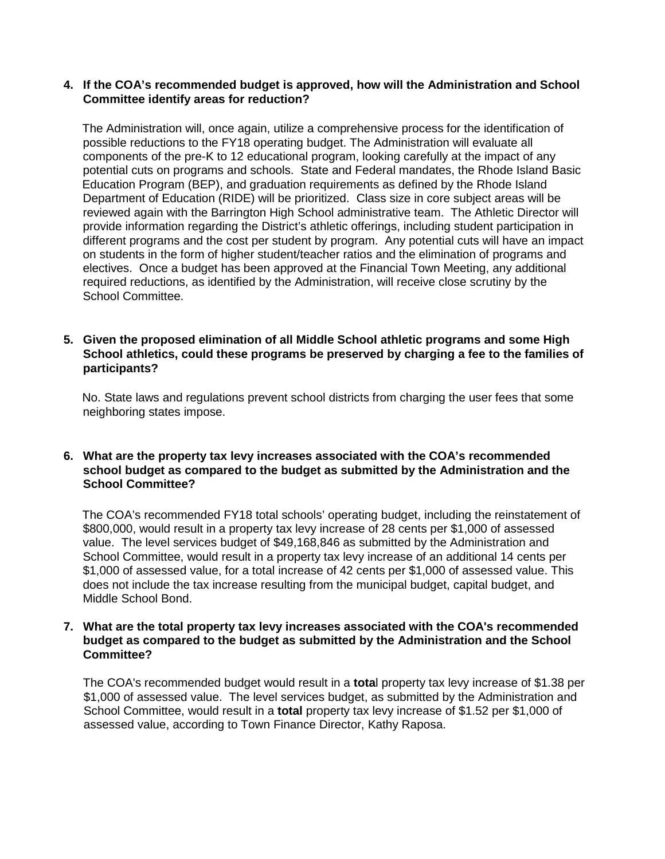#### **4. If the COA's recommended budget is approved, how will the Administration and School Committee identify areas for reduction?**

The Administration will, once again, utilize a comprehensive process for the identification of possible reductions to the FY18 operating budget. The Administration will evaluate all components of the pre-K to 12 educational program, looking carefully at the impact of any potential cuts on programs and schools. State and Federal mandates, the Rhode Island Basic Education Program (BEP), and graduation requirements as defined by the Rhode Island Department of Education (RIDE) will be prioritized. Class size in core subject areas will be reviewed again with the Barrington High School administrative team. The Athletic Director will provide information regarding the District's athletic offerings, including student participation in different programs and the cost per student by program. Any potential cuts will have an impact on students in the form of higher student/teacher ratios and the elimination of programs and electives. Once a budget has been approved at the Financial Town Meeting, any additional required reductions, as identified by the Administration, will receive close scrutiny by the School Committee.

#### **5. Given the proposed elimination of all Middle School athletic programs and some High School athletics, could these programs be preserved by charging a fee to the families of participants?**

No. State laws and regulations prevent school districts from charging the user fees that some neighboring states impose.

#### **6. What are the property tax levy increases associated with the COA's recommended school budget as compared to the budget as submitted by the Administration and the School Committee?**

The COA's recommended FY18 total schools' operating budget, including the reinstatement of \$800,000, would result in a property tax levy increase of 28 cents per \$1,000 of assessed value. The level services budget of \$49,168,846 as submitted by the Administration and School Committee, would result in a property tax levy increase of an additional 14 cents per \$1,000 of assessed value, for a total increase of 42 cents per \$1,000 of assessed value. This does not include the tax increase resulting from the municipal budget, capital budget, and Middle School Bond.

#### **7. What are the total property tax levy increases associated with the COA's recommended budget as compared to the budget as submitted by the Administration and the School Committee?**

The COA's recommended budget would result in a **tota**l property tax levy increase of \$1.38 per \$1,000 of assessed value. The level services budget, as submitted by the Administration and School Committee, would result in a **total** property tax levy increase of \$1.52 per \$1,000 of assessed value, according to Town Finance Director, Kathy Raposa.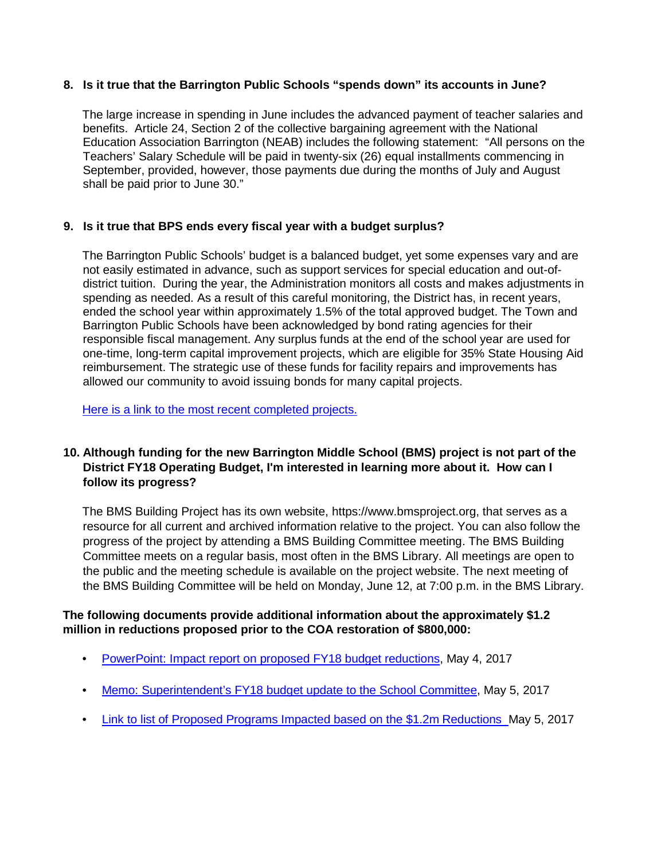#### **8. Is it true that the Barrington Public Schools "spends down" its accounts in June?**

The large increase in spending in June includes the advanced payment of teacher salaries and benefits. Article 24, Section 2 of the collective bargaining agreement with the National Education Association Barrington (NEAB) includes the following statement: "All persons on the Teachers' Salary Schedule will be paid in twenty-six (26) equal installments commencing in September, provided, however, those payments due during the months of July and August shall be paid prior to June 30."

#### **9. Is it true that BPS ends every fiscal year with a budget surplus?**

The Barrington Public Schools' budget is a balanced budget, yet some expenses vary and are not easily estimated in advance, such as support services for special education and out-ofdistrict tuition. During the year, the Administration monitors all costs and makes adjustments in spending as needed. As a result of this careful monitoring, the District has, in recent years, ended the school year within approximately 1.5% of the total approved budget. The Town and Barrington Public Schools have been acknowledged by bond rating agencies for their responsible fiscal management. Any surplus funds at the end of the school year are used for one-time, long-term capital improvement projects, which are eligible for 35% State Housing Aid reimbursement. The strategic use of these funds for facility repairs and improvements has allowed our community to avoid issuing bonds for many capital projects.

[Here is a link to the most recent completed projects.](http://www3.barringtonschools.org/businessoffice/Budget/Capital%20Project%20History%20FY06%20-%20FY16.pdf)

#### **10. Although funding for the new Barrington Middle School (BMS) project is not part of the District FY18 Operating Budget, I'm interested in learning more about it. How can I follow its progress?**

The BMS Building Project has its own website, https://www.bmsproject.org, that serves as a resource for all current and archived information relative to the project. You can also follow the progress of the project by attending a BMS Building Committee meeting. The BMS Building Committee meets on a regular basis, most often in the BMS Library. All meetings are open to the public and the meeting schedule is available on the project website. The next meeting of the BMS Building Committee will be held on Monday, June 12, at 7:00 p.m. in the BMS Library.

#### **The following documents provide additional information about the approximately \$1.2 million in reductions proposed prior to the COA restoration of \$800,000:**

- [PowerPoint: Impact report on proposed FY18 budget reductions,](http://www3.barringtonschools.org/businessoffice/Budget/FY18%20Level%20Serv%20Budget%205-4-2017.pdf) May 4, 2017
- [Memo: Superintendent's FY18 budget update to the School Committee,](http://www3.barringtonschools.org/businessoffice/Budget/Memo%20to%20SC%20FY2018%20Budget%205-5-2017.pdf) May 5, 2017
- [Link to list of Proposed Programs Impacted based on the \\$1.2m](http://www3.barringtonschools.org/businessoffice/Budget/FY18%20Proposed%20Program%20Reduction%205-4-2017.pdf) [Reductions](http://www3.barringtonschools.org/businessoffice/Budget/FY18%20Proposed%20Program%20Reduction%205-4-2017.pdf) May 5, 2017